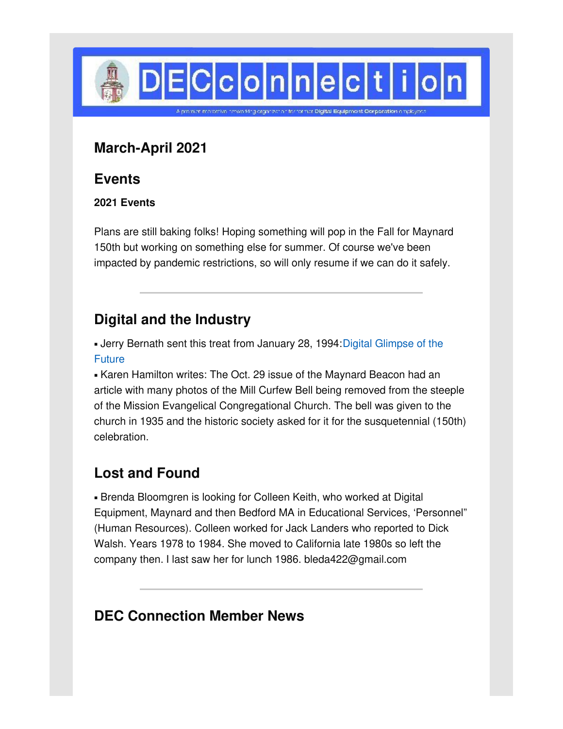

### **March-April 2021**

### **Events**

#### **2021 Events**

Plans are still baking folks! Hoping something will pop in the Fall for Maynard 150th but working on something else for summer. Of course we've been impacted by pandemic restrictions, so will only resume if we can do it safely.

# **Digital and the Industry**

• Jerry Bernath sent this treat from January 28, 1994: Digital Glimpse of the **Future** 

**Karen Hamilton writes: The Oct. 29 issue of the Maynard Beacon had an** article with many photos of the Mill Curfew Bell being removed from the steeple of the Mission Evangelical Congregational Church. The bell was given to the church in 1935 and the historic society asked for it for the susquetennial (150th) celebration.

# **Lost and Found**

**Example Bloomgren is looking for Colleen Keith, who worked at Digital Example 3** Equipment, Maynard and then Bedford MA in Educational Services, 'Personnel" (Human Resources). Colleen worked for Jack Landers who reported to Dick Walsh. Years 1978 to 1984. She moved to California late 1980s so left the company then. I last saw her for lunch 1986. bleda422@gmail.com

# **DEC Connection Member News**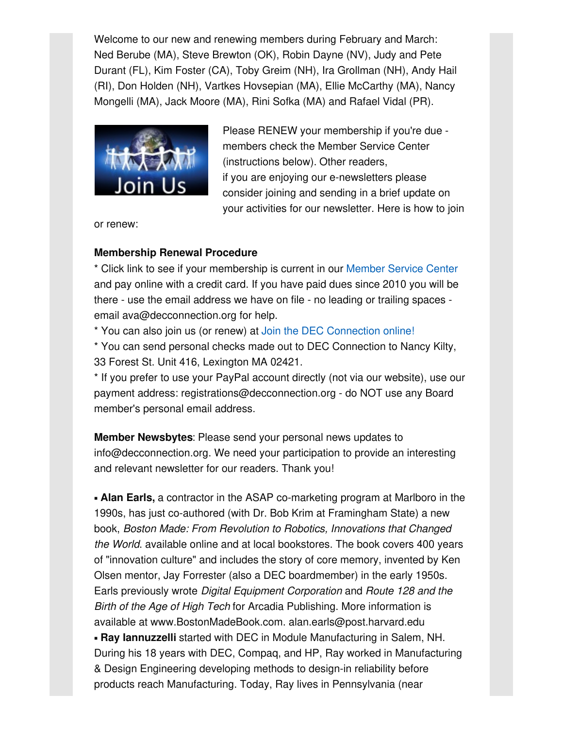Welcome to our new and renewing members during February and March: Ned Berube (MA), Steve Brewton (OK), Robin Dayne (NV), Judy and Pete Durant (FL), Kim Foster (CA), Toby Greim (NH), Ira Grollman (NH), Andy Hail (RI), Don Holden (NH), Vartkes Hovsepian (MA), Ellie McCarthy (MA), Nancy Mongelli (MA), Jack Moore (MA), Rini Sofka (MA) and Rafael Vidal (PR).



Please RENEW your membership if you're due members check the Member Service Center (instructions below). Other readers, if you are enjoying our e-newsletters please consider joining and sending in a brief update on your activities for our newsletter. Here is how to join

or renew:

#### **Membership Renewal Procedure**

\* Click link to see if your membership is current in our [Member](http://www.decconnection.org/msclogin.php) Service Center and pay online with a credit card. If you have paid dues since 2010 you will be there - use the email address we have on file - no leading or trailing spaces email ava@decconnection.org for help.

\* You can also join us (or renew) at Join the DEC [Connection](http://www.decconnection.org/join-online.htm) online!

\* You can send personal checks made out to DEC Connection to Nancy Kilty, 33 Forest St. Unit 416, Lexington MA 02421.

\* If you prefer to use your PayPal account directly (not via our website), use our payment address: registrations@decconnection.org - do NOT use any Board member's personal email address.

**Member Newsbytes**: Please send your personal news updates to info@decconnection.org. We need your participation to provide an interesting and relevant newsletter for our readers. Thank you!

▪ **Alan Earls,** a contractor in the ASAP co-marketing program at Marlboro in the 1990s, has just co-authored (with Dr. Bob Krim at Framingham State) a new book, *Boston Made: From Revolution to Robotics, Innovations that Changed the World*. available online and at local bookstores. The book covers 400 years of "innovation culture" and includes the story of core memory, invented by Ken Olsen mentor, Jay Forrester (also a DEC boardmember) in the early 1950s. Earls previously wrote *Digital Equipment Corporation* and *Route 128 and the Birth of the Age of High Tech* for Arcadia Publishing. More information is available at www.BostonMadeBook.com. alan.earls@post.harvard.edu ▪ **Ray Iannuzzelli** started with DEC in Module Manufacturing in Salem, NH. During his 18 years with DEC, Compaq, and HP, Ray worked in Manufacturing & Design Engineering developing methods to design-in reliability before products reach Manufacturing. Today, Ray lives in Pennsylvania (near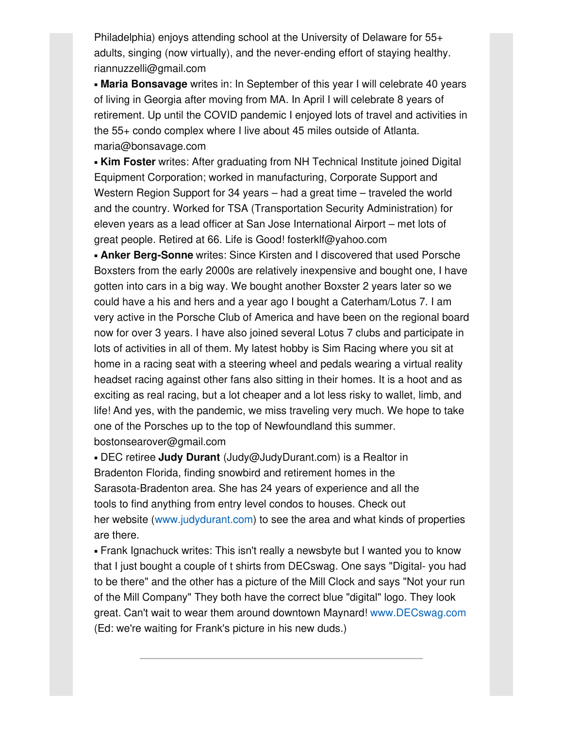Philadelphia) enjoys attending school at the University of Delaware for 55+ adults, singing (now virtually), and the never-ending effort of staying healthy. riannuzzelli@gmail.com

▪ **Maria Bonsavage** writes in: In September of this year I will celebrate 40 years of living in Georgia after moving from MA. In April I will celebrate 8 years of retirement. Up until the COVID pandemic I enjoyed lots of travel and activities in the 55+ condo complex where I live about 45 miles outside of Atlanta. maria@bonsavage.com

**Kim Foster** writes: After graduating from NH Technical Institute joined Digital Equipment Corporation; worked in manufacturing, Corporate Support and Western Region Support for 34 years – had a great time – traveled the world and the country. Worked for TSA (Transportation Security Administration) for eleven years as a lead officer at San Jose International Airport – met lots of great people. Retired at 66. Life is Good! fosterklf@yahoo.com

▪ **Anker Berg-Sonne** writes: Since Kirsten and I discovered that used Porsche Boxsters from the early 2000s are relatively inexpensive and bought one, I have gotten into cars in a big way. We bought another Boxster 2 years later so we could have a his and hers and a year ago I bought a Caterham/Lotus 7. I am very active in the Porsche Club of America and have been on the regional board now for over 3 years. I have also joined several Lotus 7 clubs and participate in lots of activities in all of them. My latest hobby is Sim Racing where you sit at home in a racing seat with a steering wheel and pedals wearing a virtual reality headset racing against other fans also sitting in their homes. It is a hoot and as exciting as real racing, but a lot cheaper and a lot less risky to wallet, limb, and life! And yes, with the pandemic, we miss traveling very much. We hope to take one of the Porsches up to the top of Newfoundland this summer. bostonsearover@gmail.com

▪ DEC retiree **Judy Durant** (Judy@JudyDurant.com) is a Realtor in Bradenton Florida, finding snowbird and retirement homes in the Sarasota-Bradenton area. She has 24 years of experience and all the tools to find anything from entry level condos to houses. Check out her website [\(www.judydurant.com](http://www.judydurant.com)) to see the area and what kinds of properties are there.

• Frank Ignachuck writes: This isn't really a newsbyte but I wanted you to know that I just bought a couple of t shirts from DECswag. One says "Digital- you had to be there" and the other has a picture of the Mill Clock and says "Not your run of the Mill Company" They both have the correct blue "digital" logo. They look great. Can't wait to wear them around downtown Maynard! [www.DECswag.com](http://www.decswag.com) (Ed: we're waiting for Frank's picture in his new duds.)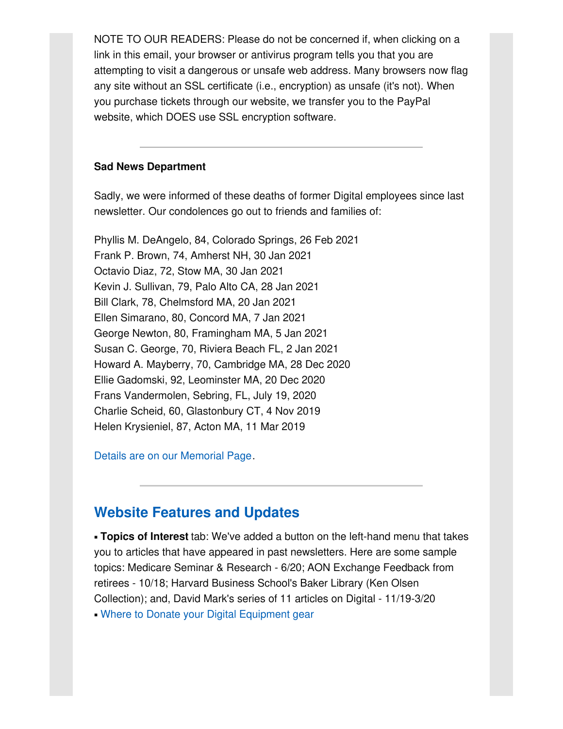NOTE TO OUR READERS: Please do not be concerned if, when clicking on a link in this email, your browser or antivirus program tells you that you are attempting to visit a dangerous or unsafe web address. Many browsers now flag any site without an SSL certificate (i.e., encryption) as unsafe (it's not). When you purchase tickets through our website, we transfer you to the PayPal website, which DOES use SSL encryption software.

#### **Sad News Department**

Sadly, we were informed of these deaths of former Digital employees since last newsletter. Our condolences go out to friends and families of:

Phyllis M. DeAngelo, 84, Colorado Springs, 26 Feb 2021 Frank P. Brown, 74, Amherst NH, 30 Jan 2021 Octavio Diaz, 72, Stow MA, 30 Jan 2021 Kevin J. Sullivan, 79, Palo Alto CA, 28 Jan 2021 Bill Clark, 78, Chelmsford MA, 20 Jan 2021 Ellen Simarano, 80, Concord MA, 7 Jan 2021 George Newton, 80, Framingham MA, 5 Jan 2021 Susan C. George, 70, Riviera Beach FL, 2 Jan 2021 Howard A. Mayberry, 70, Cambridge MA, 28 Dec 2020 Ellie Gadomski, 92, Leominster MA, 20 Dec 2020 Frans Vandermolen, Sebring, FL, July 19, 2020 Charlie Scheid, 60, Glastonbury CT, 4 Nov 2019 Helen Krysieniel, 87, Acton MA, 11 Mar 2019

Details are on our [Memorial](http://www.decconnection.org/memorials.htm) Page.

### **Website [Features](http://www.decconnection.org) and Updates**

▪ **Topics of Interest** tab: We've added a button on the left-hand menu that takes you to articles that have appeared in past newsletters. Here are some sample topics: Medicare Seminar & Research - 6/20; AON Exchange Feedback from retirees - 10/18; Harvard Business School's Baker Library (Ken Olsen Collection); and, David Mark's series of 11 articles on Digital - 11/19-3/20 • Where to Donate your Digital [Equipment](http://www.decconnection.org/DECdonations.htm) gear